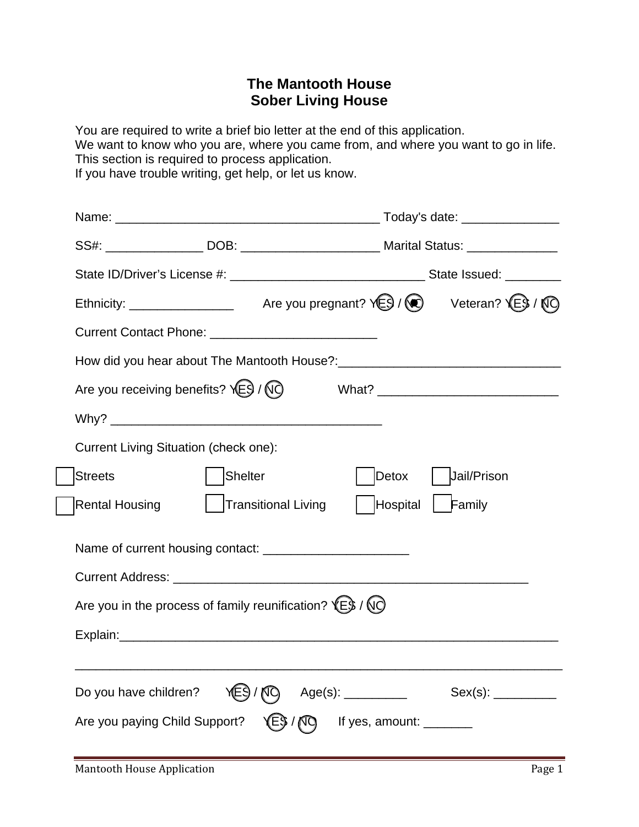# **The Mantooth House Sober Living House**

You are required to write a brief bio letter at the end of this application. We want to know who you are, where you came from, and where you want to go in life. This section is required to process application. If you have trouble writing, get help, or let us know.

| SS#: ___________________DOB: _________________________________Marital Status: _____________________ |                     |                   |                   |                   |
|-----------------------------------------------------------------------------------------------------|---------------------|-------------------|-------------------|-------------------|
|                                                                                                     |                     |                   |                   |                   |
| Ethnicity: ___________________ Are you pregnant? YES / CO Veteran? YES / NO                         |                     |                   |                   |                   |
|                                                                                                     |                     |                   |                   |                   |
|                                                                                                     |                     |                   |                   |                   |
| Are you receiving benefits? $\sqrt{E}$ / $\sqrt{Q}$                                                 |                     |                   |                   |                   |
|                                                                                                     |                     |                   |                   |                   |
| Current Living Situation (check one):                                                               |                     |                   |                   |                   |
| <b>Streets</b>                                                                                      | Shelter             |                   | Detox             | Jail/Prison       |
| Rental Housing                                                                                      | Transitional Living |                   | Hospital   Family |                   |
| Name of current housing contact: __________________________                                         |                     |                   |                   |                   |
|                                                                                                     |                     |                   |                   |                   |
| Are you in the process of family reunification? $(E)$ / $(Q)$                                       |                     |                   |                   |                   |
|                                                                                                     |                     |                   |                   |                   |
|                                                                                                     |                     |                   |                   |                   |
| Do you have children?                                                                               |                     | Age(s): _________ |                   | Sex(s): _________ |
| Are you paying Child Support?                                                                       |                     |                   |                   |                   |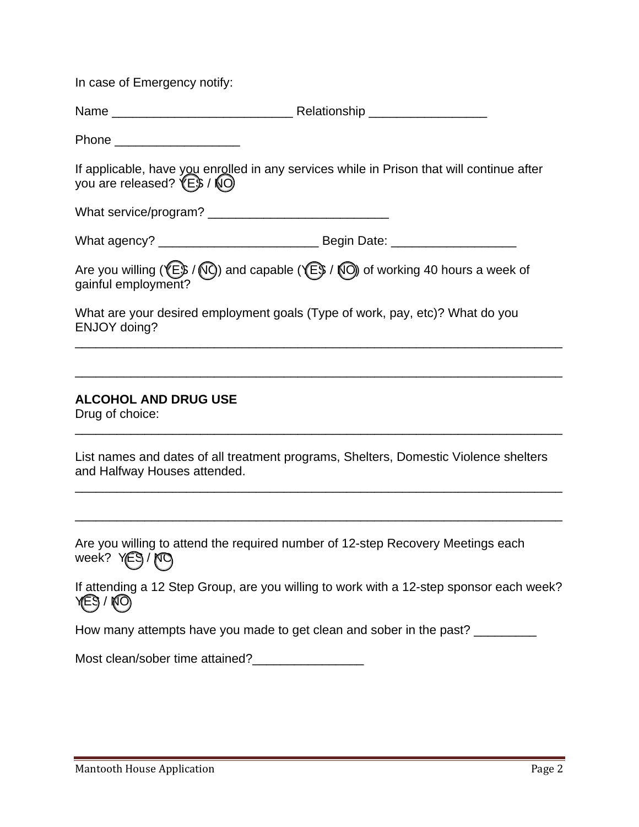In case of Emergency notify:

| Name | Relationship |
|------|--------------|
|------|--------------|

Phone  $\blacksquare$ 

If applicable, have you enrolled in any services while in Prison that will continue after you are released?  $(E\$  /  $NO)$ 

What service/program? \_\_\_\_\_\_\_\_\_\_\_\_\_\_\_\_\_\_\_\_\_\_\_\_\_\_

| What agency? | Begin Date: |
|--------------|-------------|
|              |             |

|                     |  | Are you willing ( $\sqrt{E}$ / $\sqrt{Q}$ ) and capable ( $\sqrt{E}$ / $\sqrt{Q}$ ) of working 40 hours a week of |
|---------------------|--|-------------------------------------------------------------------------------------------------------------------|
| gainful employment? |  |                                                                                                                   |

What are your desired employment goals (Type of work, pay, etc)? What do you ENJOY doing?

\_\_\_\_\_\_\_\_\_\_\_\_\_\_\_\_\_\_\_\_\_\_\_\_\_\_\_\_\_\_\_\_\_\_\_\_\_\_\_\_\_\_\_\_\_\_\_\_\_\_\_\_\_\_\_\_\_\_\_\_\_\_\_\_\_\_\_\_\_\_

\_\_\_\_\_\_\_\_\_\_\_\_\_\_\_\_\_\_\_\_\_\_\_\_\_\_\_\_\_\_\_\_\_\_\_\_\_\_\_\_\_\_\_\_\_\_\_\_\_\_\_\_\_\_\_\_\_\_\_\_\_\_\_\_\_\_\_\_\_\_

\_\_\_\_\_\_\_\_\_\_\_\_\_\_\_\_\_\_\_\_\_\_\_\_\_\_\_\_\_\_\_\_\_\_\_\_\_\_\_\_\_\_\_\_\_\_\_\_\_\_\_\_\_\_\_\_\_\_\_\_\_\_\_\_\_\_\_\_\_\_

\_\_\_\_\_\_\_\_\_\_\_\_\_\_\_\_\_\_\_\_\_\_\_\_\_\_\_\_\_\_\_\_\_\_\_\_\_\_\_\_\_\_\_\_\_\_\_\_\_\_\_\_\_\_\_\_\_\_\_\_\_\_\_\_\_\_\_\_\_\_

\_\_\_\_\_\_\_\_\_\_\_\_\_\_\_\_\_\_\_\_\_\_\_\_\_\_\_\_\_\_\_\_\_\_\_\_\_\_\_\_\_\_\_\_\_\_\_\_\_\_\_\_\_\_\_\_\_\_\_\_\_\_\_\_\_\_\_\_\_\_

#### **ALCOHOL AND DRUG USE**

Drug of choice:

List names and dates of all treatment programs, Shelters, Domestic Violence shelters and Halfway Houses attended.

Are you willing to attend the required number of 12-step Recovery Meetings each week? YES / MO

If attending a 12 Step Group, are you willing to work with a 12-step sponsor each week? YES / NO

How many attempts have you made to get clean and sober in the past? \_\_\_\_\_\_\_\_\_\_

Most clean/sober time attained?\_\_\_\_\_\_\_\_\_\_\_\_\_\_\_\_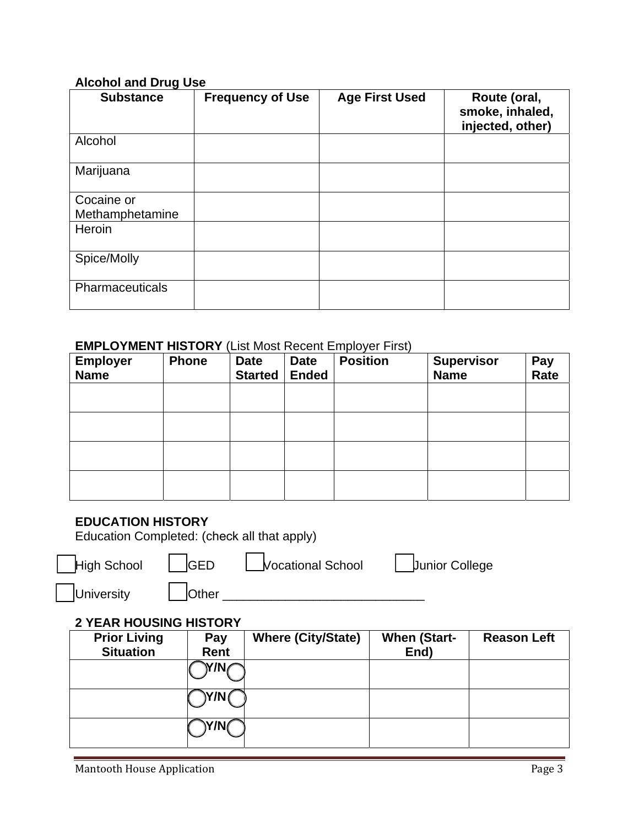#### **Alcohol and Drug Use**

| <b>Substance</b> | <b>Frequency of Use</b> | <b>Age First Used</b> | Route (oral,<br>smoke, inhaled,<br>injected, other) |
|------------------|-------------------------|-----------------------|-----------------------------------------------------|
| Alcohol          |                         |                       |                                                     |
| Marijuana        |                         |                       |                                                     |
| Cocaine or       |                         |                       |                                                     |
| Methamphetamine  |                         |                       |                                                     |
| Heroin           |                         |                       |                                                     |
| Spice/Molly      |                         |                       |                                                     |
| Pharmaceuticals  |                         |                       |                                                     |

#### **EMPLOYMENT HISTORY** (List Most Recent Employer First)

| <b>Employer</b><br><b>Name</b> | Phone | <b>Date</b><br><b>Started</b> | <b>Date</b><br><b>Ended</b> | <b>Position</b> | <b>Supervisor</b><br><b>Name</b> | Pay<br>Rate |
|--------------------------------|-------|-------------------------------|-----------------------------|-----------------|----------------------------------|-------------|
|                                |       |                               |                             |                 |                                  |             |
|                                |       |                               |                             |                 |                                  |             |
|                                |       |                               |                             |                 |                                  |             |
|                                |       |                               |                             |                 |                                  |             |

#### **EDUCATION HISTORY**

Education Completed: (check all that apply)

| High School |  |
|-------------|--|
|             |  |

**GED** Vocational School Junior College

 $\mathsf{I}$ 

University **Direct Luis Community** Other **Luis Community Community** Other **Luis Community** Other **Luis Community** 

### **2 YEAR HOUSING HISTORY**

| <b>Prior Living</b> | Pay  | <b>Where (City/State)</b> | <b>When (Start-</b> | <b>Reason Left</b> |
|---------------------|------|---------------------------|---------------------|--------------------|
| <b>Situation</b>    | Rent |                           | End)                |                    |
|                     | 7/N  |                           |                     |                    |
|                     | Y/N( |                           |                     |                    |
|                     | /N(  |                           |                     |                    |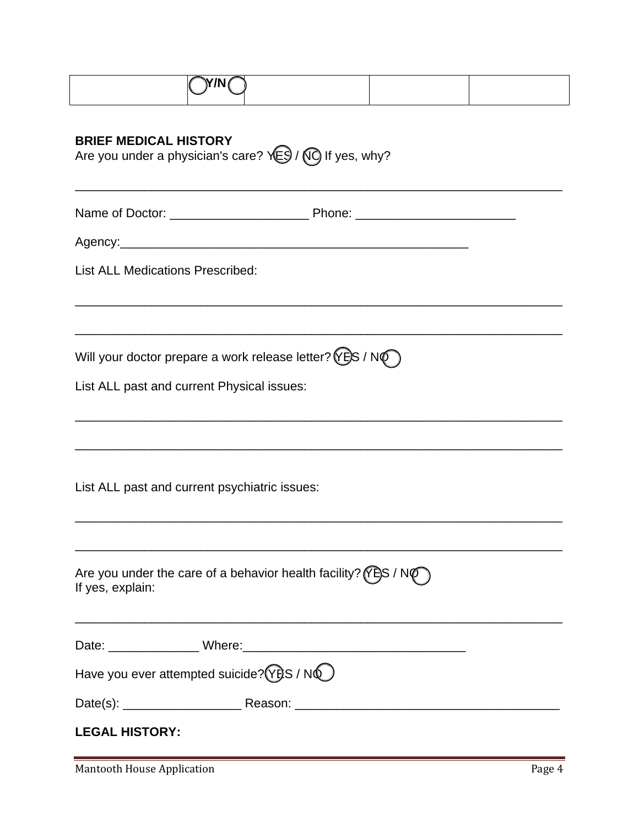| <b>BRIEF MEDICAL HISTORY</b><br>Are you under a physician's care? $\sqrt{ES}/\sqrt{O}$ If yes, why?                      |  |  |  |  |  |
|--------------------------------------------------------------------------------------------------------------------------|--|--|--|--|--|
|                                                                                                                          |  |  |  |  |  |
|                                                                                                                          |  |  |  |  |  |
| <b>List ALL Medications Prescribed:</b>                                                                                  |  |  |  |  |  |
| Will your doctor prepare a work release letter? ( $\angle$ E)S / N $\circ$<br>List ALL past and current Physical issues: |  |  |  |  |  |
| List ALL past and current psychiatric issues:                                                                            |  |  |  |  |  |
| Are you under the care of a behavior health facility? ( $\sqrt{P}$ S / N $\sqrt{P}$ )<br>If yes, explain:                |  |  |  |  |  |
|                                                                                                                          |  |  |  |  |  |
| Have you ever attempted suicide? (YES / NO)                                                                              |  |  |  |  |  |
|                                                                                                                          |  |  |  |  |  |
| <b>LEGAL HISTORY:</b>                                                                                                    |  |  |  |  |  |

Mantooth House Application **Page 4**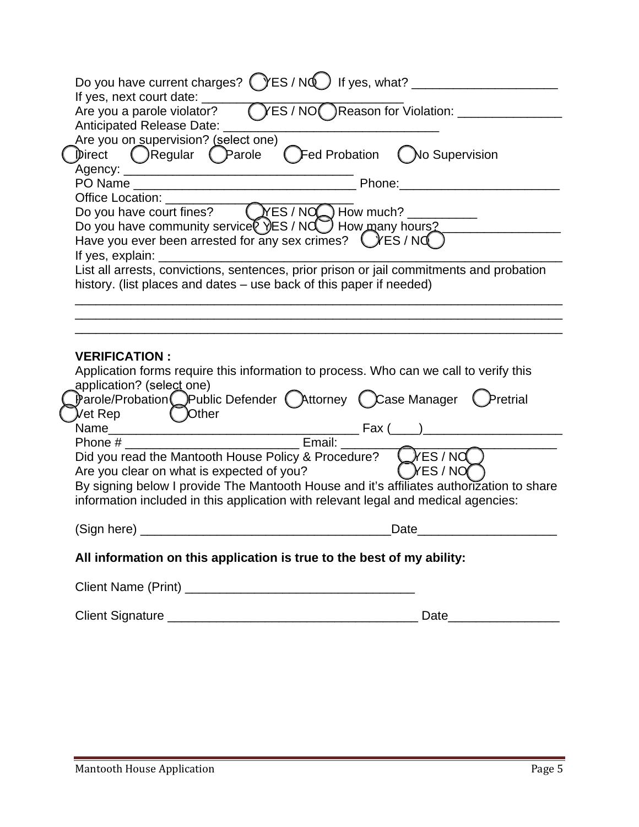|  | Do you have current charges? CYES / NQ If yes, what? ___________________                                                                   |          |  |  |  |
|--|--------------------------------------------------------------------------------------------------------------------------------------------|----------|--|--|--|
|  |                                                                                                                                            |          |  |  |  |
|  | Anticipated Release Date: ___                                                                                                              |          |  |  |  |
|  | Are you on supervision? (select one)                                                                                                       |          |  |  |  |
|  | Direct ( )Regular ( )Parole ( )Fed Probation ( )No Supervision                                                                             |          |  |  |  |
|  |                                                                                                                                            |          |  |  |  |
|  |                                                                                                                                            |          |  |  |  |
|  |                                                                                                                                            |          |  |  |  |
|  |                                                                                                                                            |          |  |  |  |
|  | Do you have community service VES / NCO How many hours?<br>Have you ever been arrested for any sex crimes? CYES / NCO                      |          |  |  |  |
|  | If yes, explain:<br><u> 1989 - Johann John Stone, mars eta biztanleria (</u>                                                               |          |  |  |  |
|  | List all arrests, convictions, sentences, prior prison or jail commitments and probation                                                   |          |  |  |  |
|  | history. (list places and dates – use back of this paper if needed)                                                                        |          |  |  |  |
|  |                                                                                                                                            |          |  |  |  |
|  |                                                                                                                                            |          |  |  |  |
|  |                                                                                                                                            |          |  |  |  |
|  | <b>VERIFICATION:</b><br>Application forms require this information to process. Who can we call to verify this<br>application? (select one) |          |  |  |  |
|  |                                                                                                                                            |          |  |  |  |
|  | Parole/Probation Public Defender (Attorney Case Manager Pretrial                                                                           |          |  |  |  |
|  | Vet Rep<br>( )Other                                                                                                                        |          |  |  |  |
|  |                                                                                                                                            |          |  |  |  |
|  | Email:<br>Phone #<br>Did you read the Mantooth House Policy & Procedure? CXES / NO                                                         |          |  |  |  |
|  | Are you clear on what is expected of you?                                                                                                  | (XES/NO) |  |  |  |
|  | By signing below I provide The Mantooth House and it's affiliates authorization to share                                                   |          |  |  |  |
|  | information included in this application with relevant legal and medical agencies:                                                         |          |  |  |  |
|  |                                                                                                                                            | Date     |  |  |  |
|  |                                                                                                                                            |          |  |  |  |
|  | All information on this application is true to the best of my ability:                                                                     |          |  |  |  |
|  |                                                                                                                                            |          |  |  |  |
|  |                                                                                                                                            |          |  |  |  |
|  |                                                                                                                                            |          |  |  |  |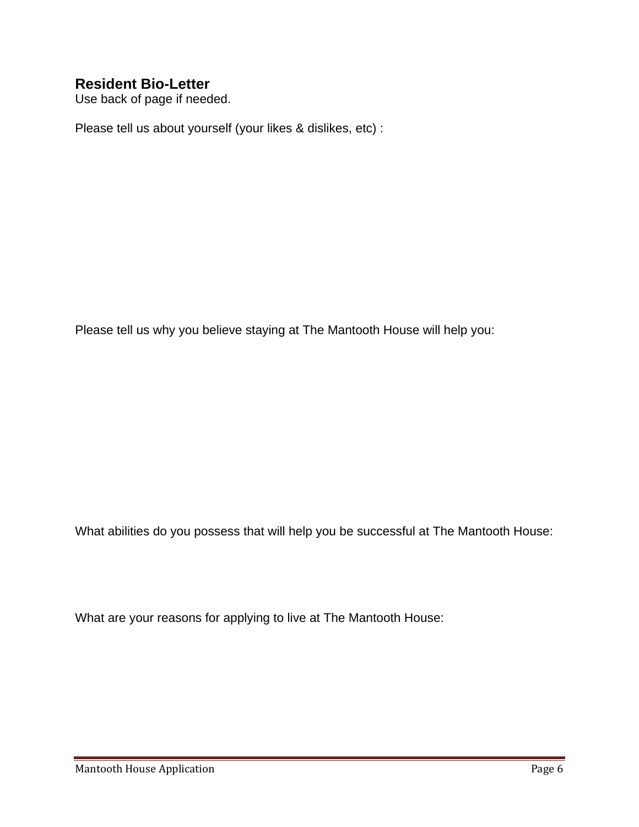## **Resident Bio-Letter**

Use back of page if needed.

Please tell us about yourself (your likes & dislikes, etc) :

Please tell us why you believe staying at The Mantooth House will help you:

What abilities do you possess that will help you be successful at The Mantooth House:

What are your reasons for applying to live at The Mantooth House: